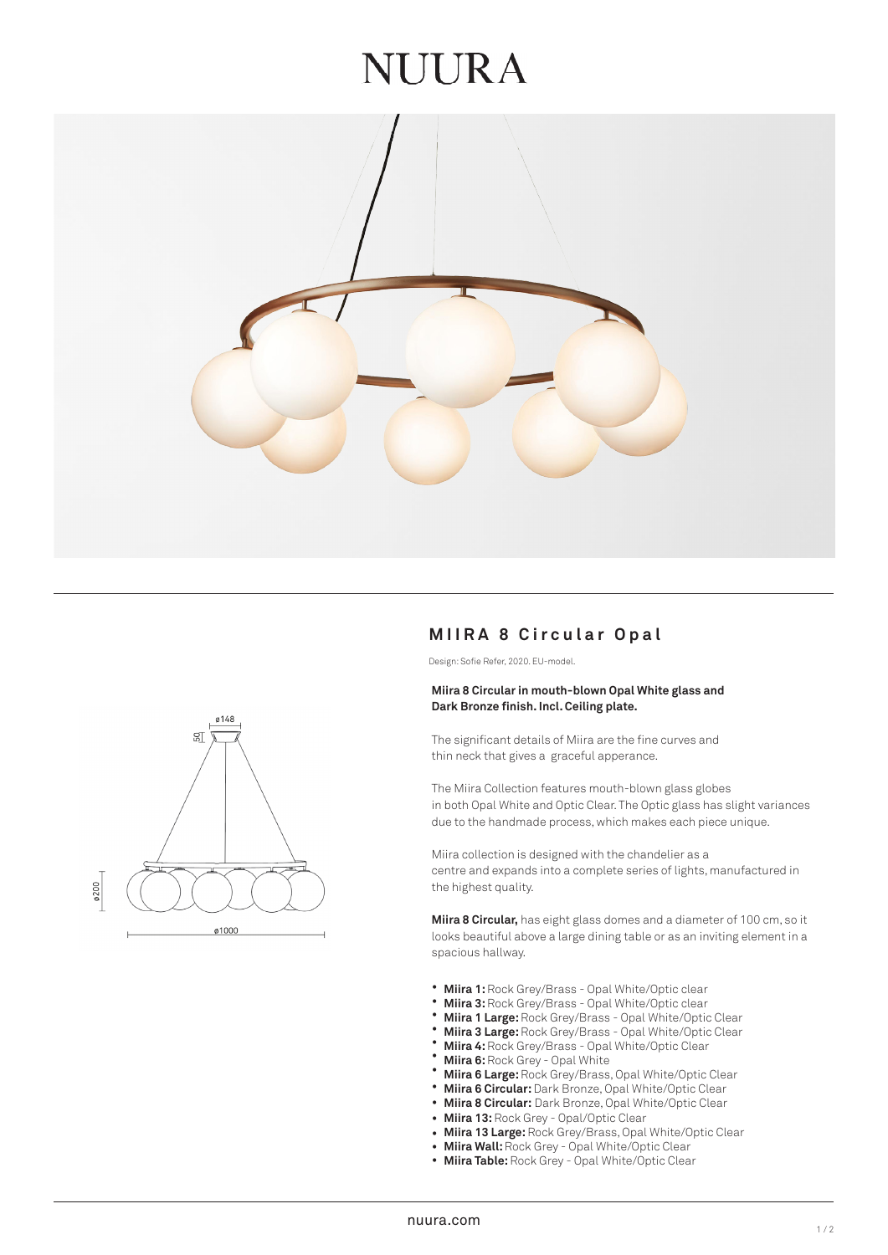### **JUURA**



# ø148  $\mathbb{S}$ ø200 ø1000

#### **MIIRA 8 Circular Opal**

Design: Sofie Refer, 2020. EU-model.

#### **Miira 8 Circular in mouth-blown Opal White glass and Dark Bronze finish. Incl. Ceiling plate.**

The significant details of Miira are the fine curves and thin neck that gives a graceful apperance.

The Miira Collection features mouth-blown glass globes in both Opal White and Optic Clear. The Optic glass has slight variances due to the handmade process, which makes each piece unique.

Miira collection is designed with the chandelier as a centre and expands into a complete series of lights, manufactured in the highest quality.

**Miira 8 Circular,** has eight glass domes and a diameter of 100 cm, so it looks beautiful above a large dining table or as an inviting element in a spacious hallway.

- **Miira 1:** Rock Grey/Brass Opal White/Optic clear •
- **Miira 3:** Rock Grey/Brass Opal White/Optic clear •
- **Miira 1 Large:** Rock Grey/Brass Opal White/Optic Clear •
- **Miira 3 Large:** Rock Grey/Brass Opal White/Optic Clear •
- **Miira 4:** Rock Grey/Brass Opal White/Optic Clear •
- **Miira 6:** Rock Grey Opal White •
- **Miira 6 Large:** Rock Grey/Brass, Opal White/Optic Clear •
- **Miira 6 Circular:** Dark Bronze, Opal White/Optic Clear •
- **Miira 8 Circular:** Dark Bronze, Opal White/Optic Clear •
- **Miira 13:** Rock Grey Opal/Optic Clear
- **Miira 13 Large:** Rock Grey/Brass, Opal White/Optic Clear •
- **Miira Wall:** Rock Grey Opal White/Optic Clear •
- **Miira Table:** Rock Grey Opal White/Optic Clear •